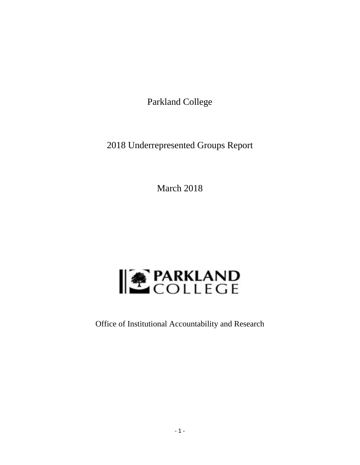Parkland College

2018 Underrepresented Groups Report

March 2018



Office of Institutional Accountability and Research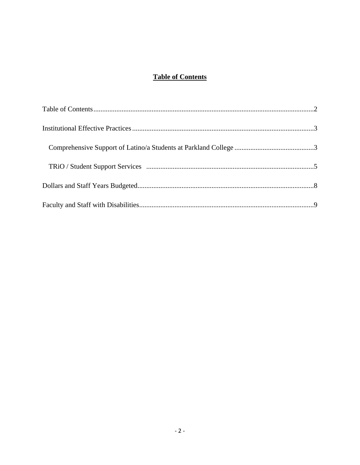# **Table of Contents**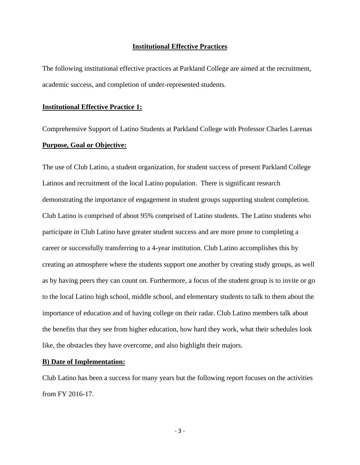#### **Institutional Effective Practices**

The following institutional effective practices at Parkland College are aimed at the recruitment, academic success, and completion of under-represented students.

#### **Institutional Effective Practice 1:**

Comprehensive Support of Latino Students at Parkland College with Professor Charles Larenas **Purpose, Goal or Objective:** 

The use of Club Latino, a student organization, for student success of present Parkland College Latinos and recruitment of the local Latino population. There is significant research demonstrating the importance of engagement in student groups supporting student completion. Club Latino is comprised of about 95% comprised of Latino students. The Latino students who participate in Club Latino have greater student success and are more prone to completing a career or successfully transferring to a 4-year institution. Club Latino accomplishes this by creating an atmosphere where the students support one another by creating study groups, as well as by having peers they can count on. Furthermore, a focus of the student group is to invite or go to the local Latino high school, middle school, and elementary students to talk to them about the importance of education and of having college on their radar. Club Latino members talk about the benefits that they see from higher education, how hard they work, what their schedules look like, the obstacles they have overcome, and also highlight their majors.

#### **B) Date of Implementation:**

Club Latino has been a success for many years but the following report focuses on the activities from FY 2016-17.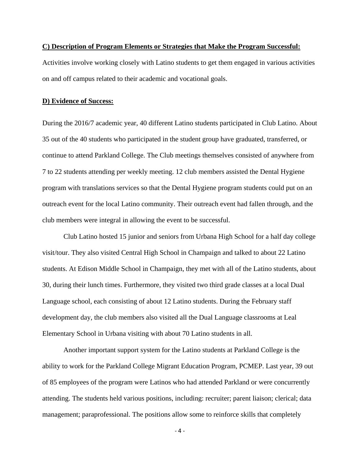#### **C) Description of Program Elements or Strategies that Make the Program Successful:**

Activities involve working closely with Latino students to get them engaged in various activities on and off campus related to their academic and vocational goals.

### **D) Evidence of Success:**

During the 2016/7 academic year, 40 different Latino students participated in Club Latino. About 35 out of the 40 students who participated in the student group have graduated, transferred, or continue to attend Parkland College. The Club meetings themselves consisted of anywhere from 7 to 22 students attending per weekly meeting. 12 club members assisted the Dental Hygiene program with translations services so that the Dental Hygiene program students could put on an outreach event for the local Latino community. Their outreach event had fallen through, and the club members were integral in allowing the event to be successful.

Club Latino hosted 15 junior and seniors from Urbana High School for a half day college visit/tour. They also visited Central High School in Champaign and talked to about 22 Latino students. At Edison Middle School in Champaign, they met with all of the Latino students, about 30, during their lunch times. Furthermore, they visited two third grade classes at a local Dual Language school, each consisting of about 12 Latino students. During the February staff development day, the club members also visited all the Dual Language classrooms at Leal Elementary School in Urbana visiting with about 70 Latino students in all.

Another important support system for the Latino students at Parkland College is the ability to work for the Parkland College Migrant Education Program, PCMEP. Last year, 39 out of 85 employees of the program were Latinos who had attended Parkland or were concurrently attending. The students held various positions, including: recruiter; parent liaison; clerical; data management; paraprofessional. The positions allow some to reinforce skills that completely

 $-4-$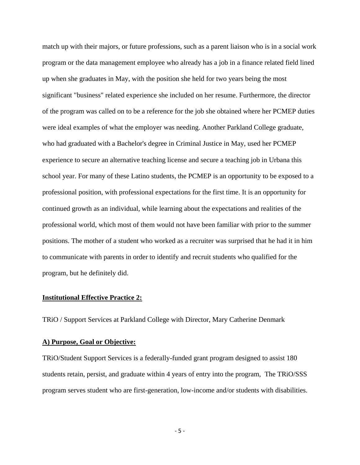match up with their majors, or future professions, such as a parent liaison who is in a social work program or the data management employee who already has a job in a finance related field lined up when she graduates in May, with the position she held for two years being the most significant "business" related experience she included on her resume. Furthermore, the director of the program was called on to be a reference for the job she obtained where her PCMEP duties were ideal examples of what the employer was needing. Another Parkland College graduate, who had graduated with a Bachelor's degree in Criminal Justice in May, used her PCMEP experience to secure an alternative teaching license and secure a teaching job in Urbana this school year. For many of these Latino students, the PCMEP is an opportunity to be exposed to a professional position, with professional expectations for the first time. It is an opportunity for continued growth as an individual, while learning about the expectations and realities of the professional world, which most of them would not have been familiar with prior to the summer positions. The mother of a student who worked as a recruiter was surprised that he had it in him to communicate with parents in order to identify and recruit students who qualified for the program, but he definitely did.

## **Institutional Effective Practice 2:**

TRiO / Support Services at Parkland College with Director, Mary Catherine Denmark

### **A) Purpose, Goal or Objective:**

TRiO/Student Support Services is a federally-funded grant program designed to assist 180 students retain, persist, and graduate within 4 years of entry into the program, The TRiO/SSS program serves student who are first-generation, low-income and/or students with disabilities.

‐ 5 ‐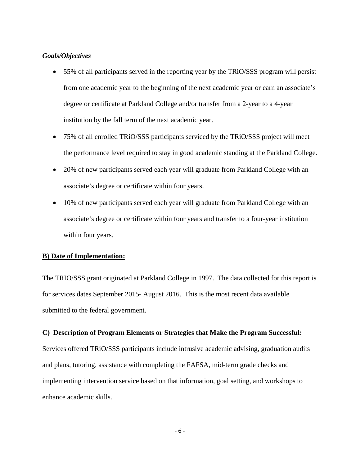### *Goals/Objectives*

- 55% of all participants served in the reporting year by the TRiO/SSS program will persist from one academic year to the beginning of the next academic year or earn an associate's degree or certificate at Parkland College and/or transfer from a 2-year to a 4-year institution by the fall term of the next academic year.
- 75% of all enrolled TRiO/SSS participants serviced by the TRiO/SSS project will meet the performance level required to stay in good academic standing at the Parkland College.
- 20% of new participants served each year will graduate from Parkland College with an associate's degree or certificate within four years.
- 10% of new participants served each year will graduate from Parkland College with an associate's degree or certificate within four years and transfer to a four-year institution within four years.

## **B) Date of Implementation:**

The TRIO/SSS grant originated at Parkland College in 1997. The data collected for this report is for services dates September 2015- August 2016. This is the most recent data available submitted to the federal government.

#### **C) Description of Program Elements or Strategies that Make the Program Successful:**

Services offered TRiO/SSS participants include intrusive academic advising, graduation audits and plans, tutoring, assistance with completing the FAFSA, mid-term grade checks and implementing intervention service based on that information, goal setting, and workshops to enhance academic skills.